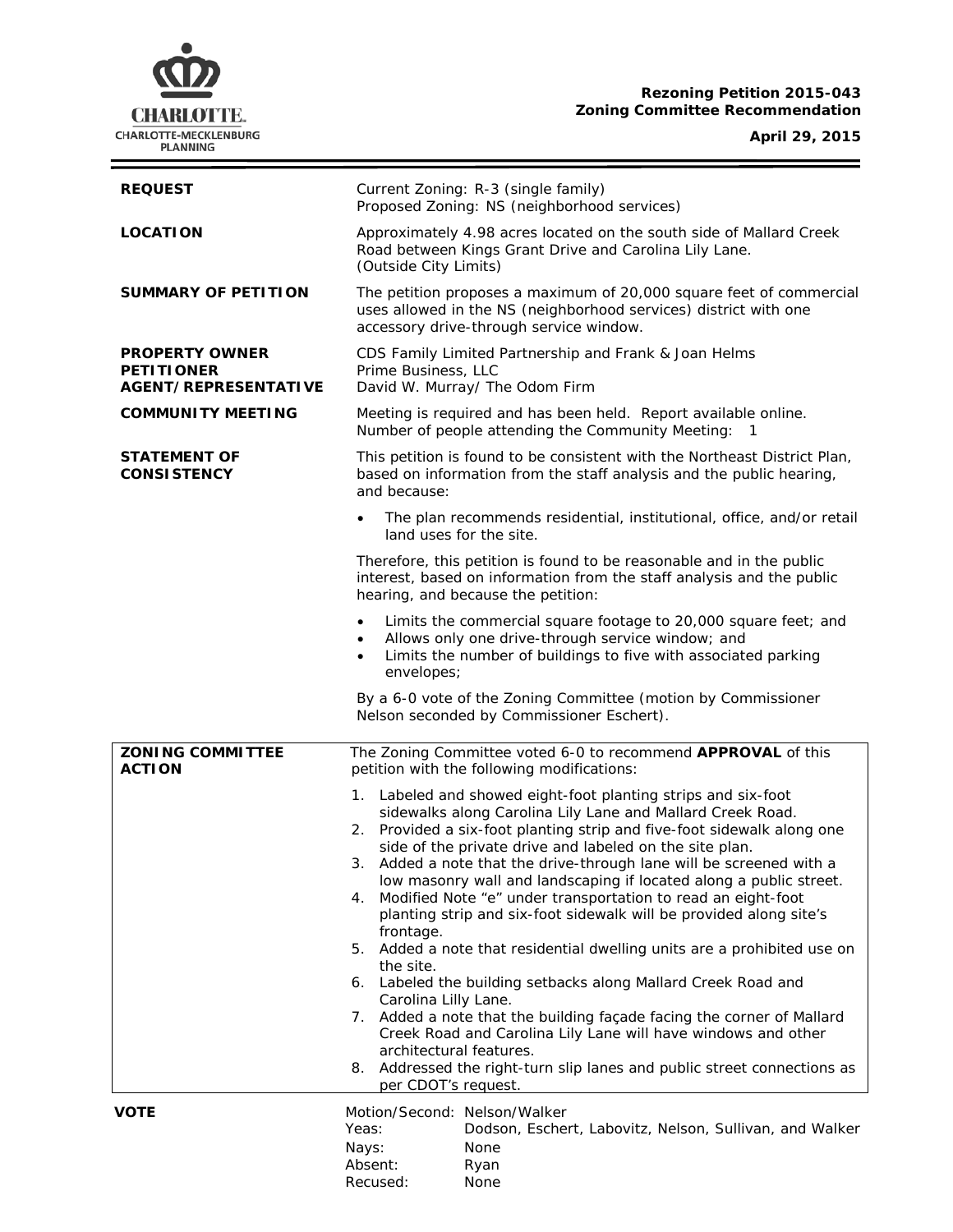# **Rezoning Petition 2015-043 Zoning Committee Recommendation**



**April 29, 2015**

 $\equiv$ 

| <b>REQUEST</b>                                                            | Current Zoning: R-3 (single family)<br>Proposed Zoning: NS (neighborhood services)                                                                                                                                                                                                                                                                                                                                                                                                                                                                                                                                                                                                                                                                                                                                                                                                                |
|---------------------------------------------------------------------------|---------------------------------------------------------------------------------------------------------------------------------------------------------------------------------------------------------------------------------------------------------------------------------------------------------------------------------------------------------------------------------------------------------------------------------------------------------------------------------------------------------------------------------------------------------------------------------------------------------------------------------------------------------------------------------------------------------------------------------------------------------------------------------------------------------------------------------------------------------------------------------------------------|
| <b>LOCATION</b>                                                           | Approximately 4.98 acres located on the south side of Mallard Creek<br>Road between Kings Grant Drive and Carolina Lily Lane.<br>(Outside City Limits)                                                                                                                                                                                                                                                                                                                                                                                                                                                                                                                                                                                                                                                                                                                                            |
| <b>SUMMARY OF PETITION</b>                                                | The petition proposes a maximum of 20,000 square feet of commercial<br>uses allowed in the NS (neighborhood services) district with one<br>accessory drive-through service window.                                                                                                                                                                                                                                                                                                                                                                                                                                                                                                                                                                                                                                                                                                                |
| <b>PROPERTY OWNER</b><br><b>PETITIONER</b><br><b>AGENT/REPRESENTATIVE</b> | CDS Family Limited Partnership and Frank & Joan Helms<br>Prime Business, LLC<br>David W. Murray/ The Odom Firm                                                                                                                                                                                                                                                                                                                                                                                                                                                                                                                                                                                                                                                                                                                                                                                    |
| <b>COMMUNITY MEETING</b>                                                  | Meeting is required and has been held. Report available online.<br>Number of people attending the Community Meeting:<br>-1                                                                                                                                                                                                                                                                                                                                                                                                                                                                                                                                                                                                                                                                                                                                                                        |
| <b>STATEMENT OF</b><br><b>CONSISTENCY</b>                                 | This petition is found to be consistent with the Northeast District Plan,<br>based on information from the staff analysis and the public hearing,<br>and because:                                                                                                                                                                                                                                                                                                                                                                                                                                                                                                                                                                                                                                                                                                                                 |
|                                                                           | The plan recommends residential, institutional, office, and/or retail<br>land uses for the site.                                                                                                                                                                                                                                                                                                                                                                                                                                                                                                                                                                                                                                                                                                                                                                                                  |
|                                                                           | Therefore, this petition is found to be reasonable and in the public<br>interest, based on information from the staff analysis and the public<br>hearing, and because the petition:                                                                                                                                                                                                                                                                                                                                                                                                                                                                                                                                                                                                                                                                                                               |
|                                                                           | Limits the commercial square footage to 20,000 square feet; and<br>Allows only one drive-through service window; and<br>Limits the number of buildings to five with associated parking<br>٠<br>envelopes;                                                                                                                                                                                                                                                                                                                                                                                                                                                                                                                                                                                                                                                                                         |
|                                                                           | By a 6-0 vote of the Zoning Committee (motion by Commissioner<br>Nelson seconded by Commissioner Eschert).                                                                                                                                                                                                                                                                                                                                                                                                                                                                                                                                                                                                                                                                                                                                                                                        |
| <b>ZONING COMMITTEE</b><br><b>ACTION</b>                                  | The Zoning Committee voted 6-0 to recommend APPROVAL of this<br>petition with the following modifications:                                                                                                                                                                                                                                                                                                                                                                                                                                                                                                                                                                                                                                                                                                                                                                                        |
|                                                                           | 1. Labeled and showed eight-foot planting strips and six-foot<br>sidewalks along Carolina Lily Lane and Mallard Creek Road.<br>Provided a six-foot planting strip and five-foot sidewalk along one<br>2.<br>side of the private drive and labeled on the site plan.<br>Added a note that the drive-through lane will be screened with a<br>low masonry wall and landscaping if located along a public street.<br>Modified Note "e" under transportation to read an eight-foot<br>4.<br>planting strip and six-foot sidewalk will be provided along site's<br>frontage.<br>5. Added a note that residential dwelling units are a prohibited use on<br>the site.<br>6. Labeled the building setbacks along Mallard Creek Road and<br>Carolina Lilly Lane.<br>7. Added a note that the building façade facing the corner of Mallard<br>Creek Road and Carolina Lily Lane will have windows and other |
|                                                                           | architectural features.<br>Addressed the right-turn slip lanes and public street connections as<br>8.<br>per CDOT's request.                                                                                                                                                                                                                                                                                                                                                                                                                                                                                                                                                                                                                                                                                                                                                                      |
| <b>VOTE</b>                                                               | Motion/Second: Nelson/Walker<br>Dodson, Eschert, Labovitz, Nelson, Sullivan, and Walker<br>Yeas:<br>Nays:<br>None<br>Absent:<br>Ryan<br>Recused:<br>None                                                                                                                                                                                                                                                                                                                                                                                                                                                                                                                                                                                                                                                                                                                                          |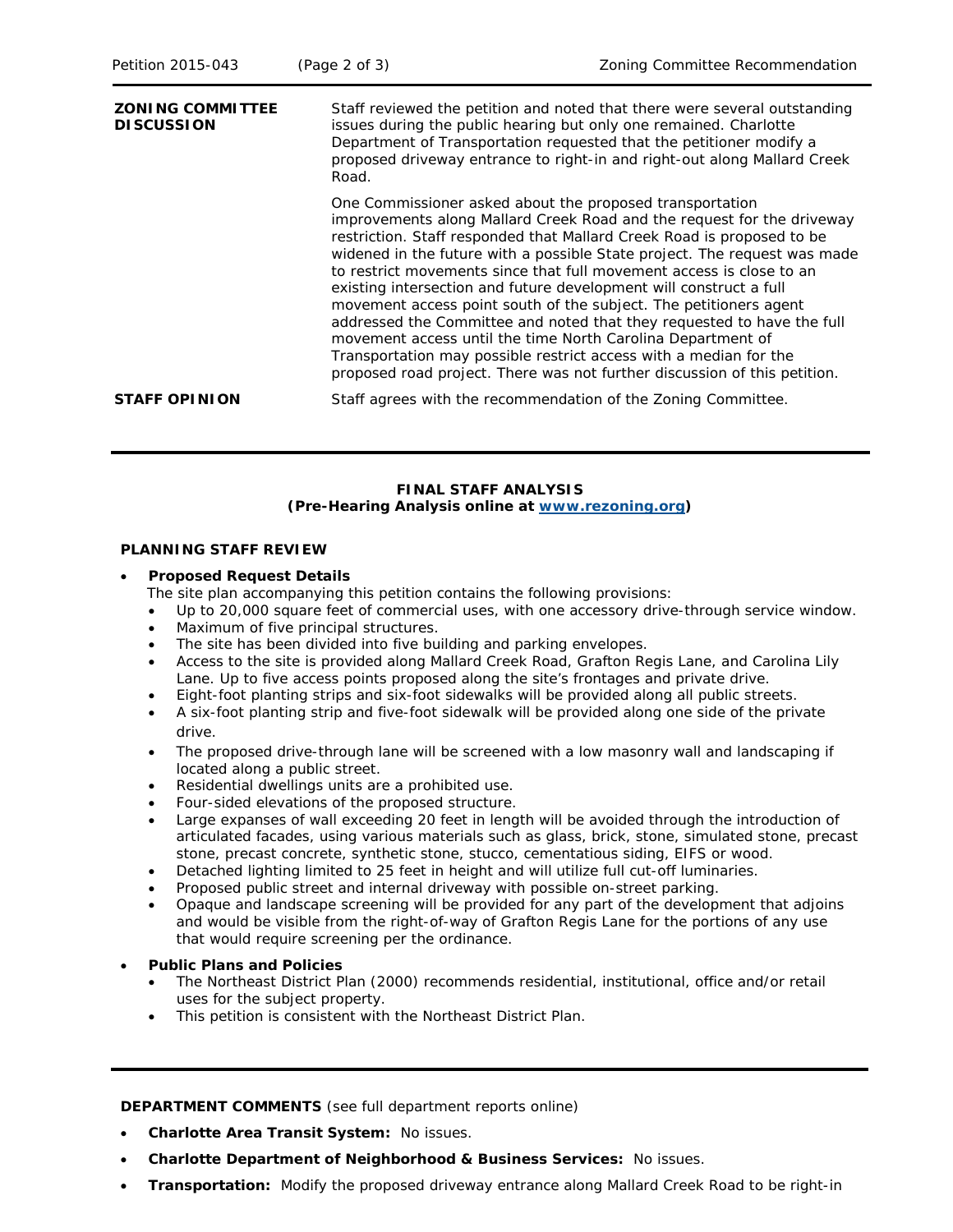| <b>ZONING COMMITTEE</b><br><b>DISCUSSION</b> | Staff reviewed the petition and noted that there were several outstanding<br>issues during the public hearing but only one remained. Charlotte<br>Department of Transportation requested that the petitioner modify a<br>proposed driveway entrance to right-in and right-out along Mallard Creek<br>Road.                                                                                                                                                                                                                                                                                                                                                                                                                                                                                              |
|----------------------------------------------|---------------------------------------------------------------------------------------------------------------------------------------------------------------------------------------------------------------------------------------------------------------------------------------------------------------------------------------------------------------------------------------------------------------------------------------------------------------------------------------------------------------------------------------------------------------------------------------------------------------------------------------------------------------------------------------------------------------------------------------------------------------------------------------------------------|
|                                              | One Commissioner asked about the proposed transportation<br>improvements along Mallard Creek Road and the request for the driveway<br>restriction. Staff responded that Mallard Creek Road is proposed to be<br>widened in the future with a possible State project. The request was made<br>to restrict movements since that full movement access is close to an<br>existing intersection and future development will construct a full<br>movement access point south of the subject. The petitioners agent<br>addressed the Committee and noted that they requested to have the full<br>movement access until the time North Carolina Department of<br>Transportation may possible restrict access with a median for the<br>proposed road project. There was not further discussion of this petition. |
| <b>STAFF OPINION</b>                         | Staff agrees with the recommendation of the Zoning Committee.                                                                                                                                                                                                                                                                                                                                                                                                                                                                                                                                                                                                                                                                                                                                           |

## **FINAL STAFF ANALYSIS (Pre-Hearing Analysis online at [www.rezoning.org\)](http://www.rezoning.org/)**

## **PLANNING STAFF REVIEW**

#### • **Proposed Request Details**

The site plan accompanying this petition contains the following provisions:

- Up to 20,000 square feet of commercial uses, with one accessory drive-through service window.
- Maximum of five principal structures.
- The site has been divided into five building and parking envelopes.
- Access to the site is provided along Mallard Creek Road, Grafton Regis Lane, and Carolina Lily Lane. Up to five access points proposed along the site's frontages and private drive.
- Eight-foot planting strips and six-foot sidewalks will be provided along all public streets.
- A six-foot planting strip and five-foot sidewalk will be provided along one side of the private drive.
- The proposed drive-through lane will be screened with a low masonry wall and landscaping if located along a public street.
- Residential dwellings units are a prohibited use.
- Four-sided elevations of the proposed structure.
- Large expanses of wall exceeding 20 feet in length will be avoided through the introduction of articulated facades, using various materials such as glass, brick, stone, simulated stone, precast stone, precast concrete, synthetic stone, stucco, cementatious siding, EIFS or wood.
- Detached lighting limited to 25 feet in height and will utilize full cut-off luminaries.
- Proposed public street and internal driveway with possible on-street parking.
- Opaque and landscape screening will be provided for any part of the development that adjoins and would be visible from the right-of-way of Grafton Regis Lane for the portions of any use that would require screening per the ordinance.
- **Public Plans and Policies**
	- The *Northeast District Plan* (2000) recommends residential, institutional, office and/or retail uses for the subject property.
	- This petition is consistent with the *Northeast District Plan*.

**DEPARTMENT COMMENTS** (see full department reports online)

- **Charlotte Area Transit System:** No issues.
- **Charlotte Department of Neighborhood & Business Services:** No issues.
- **Transportation:** Modify the proposed driveway entrance along Mallard Creek Road to be right-in